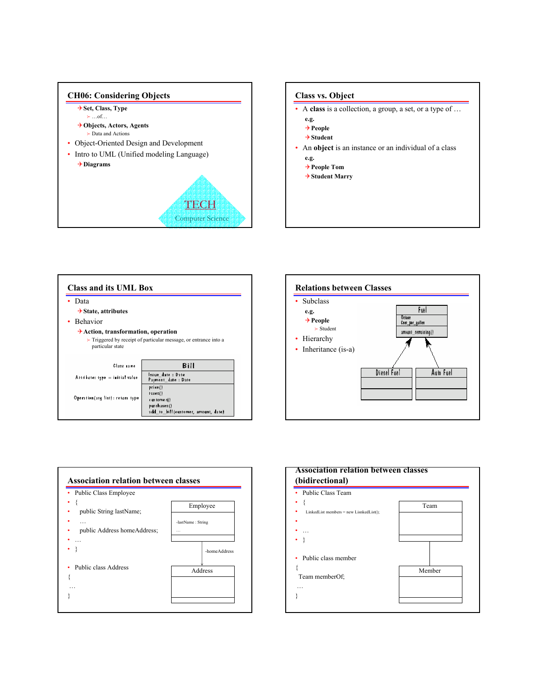



| Data                                          |                                                                                 |
|-----------------------------------------------|---------------------------------------------------------------------------------|
| $\rightarrow$ State, attributes               |                                                                                 |
| • Behavior                                    |                                                                                 |
|                                               | $\triangleright$ Triggered by receipt of particular message, or entrance into a |
| particular state                              |                                                                                 |
| Class rane<br>Attribate: type = initial value | Bill<br>Issue date: Date<br>Payment date : Date                                 |





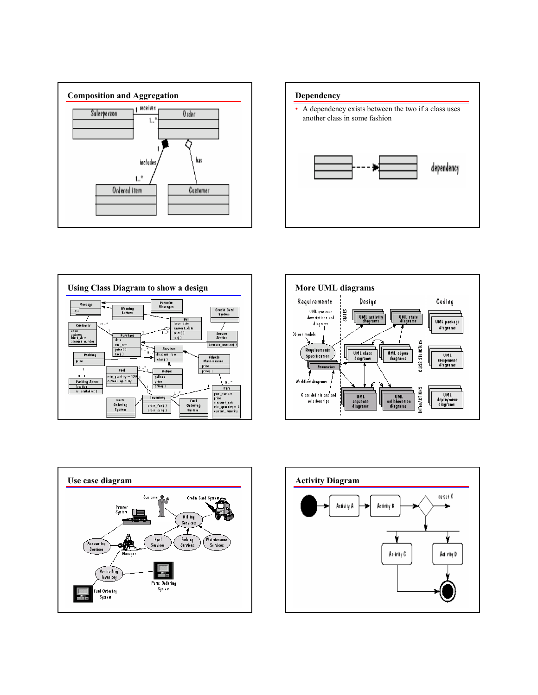